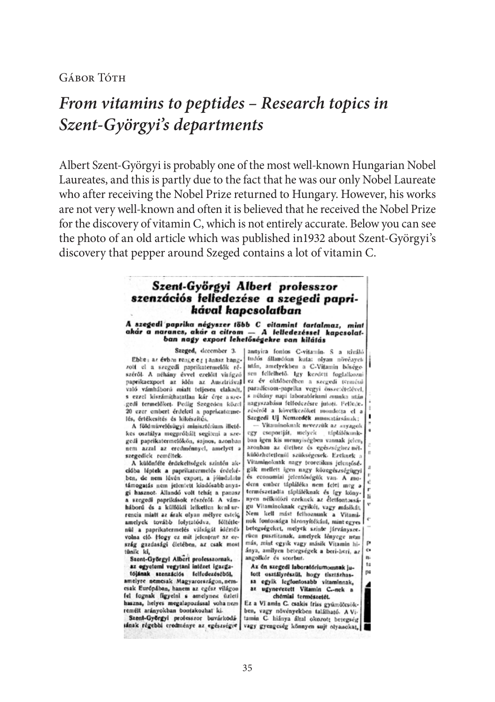**GÁBOR TÓTH** 

# *From vitamins to peptides – Research topics in Szent-Györgyi's departments*

Albert Szent-Györgyi is probably one of the most well-known Hungarian Nobel Laureates, and this is partly due to the fact that he was our only Nobel Laureate who after receiving the Nobel Prize returned to Hungary. However, his works are not very well-known and often it is believed that he received the Nobel Prize for the discovery of vitamin C, which is not entirely accurate. Below you can see the photo of an old article which was published in1932 about Szent-Györgyi's discovery that pepper around Szeged contains a lot of vitamin C.

### Szent-Györgyi Albert professzor szenzációs felfedezése a szegedi paprikával kapcsolatban

A szegedi paprika négyszer több C vitamint tartalmaz, mint akár a narancs, akár a citrom - A felledezéssel kapcsolatban nagy export lehetőségekre van kilátás

Szeged, december 3.

Ebbe; as évben reage eg janasz hangzott el a szegedi paprikatermelők részéről- A néhány évvel ezelőtt virágzó paprikaexport az idén az Ausztriával vz év októberében a szegedi termésű való vámháború miatt teljesen elakadt, paradícsom-paprika vegyi összetétetével, s ezzel kiszámithatatlan kár érte aszegedi termelőket. Pedig Szegeden közel 20 ezer embert érdekel a papricatermelés, értékesítés és kikészítés.

A földmüvelésügyi minisztérium illetékes osztálya megpróbált segíteni a szegedi paprikatermelókön, sajnos, azonban nem azzal az eredménnyel, amelyet a szegedick reméltek.

A különféle érdekeltségek szintén akcióba léptek a paprikatermelés érdekében, de nem lévén export, a jóindulatu támogatás nem jelentett kiadósabb anyagi hasznot. Allandó volt tehát a panasz a szegedi paprikások részéről. A vámháború és a külföldi lelketlen kenl-urrencia miatt az árak olyan mélyre estek, amelyek tovább folytatódva, föltétlenül a paprikatermelés válságát idézték<br>volna elő Hogy ez mit jelentene az ország gazdasági életében, az csak most tünik ki,

Szent-Györgyi Albert professzornak, az egyetemi vegytani intézet igazga-

tójának szenzációs felfedezéséből, amelyre nemesak Magyarországon, nemesak Európában, hanem az egész világon fel fognak figyelni s amelynek üzleti haszna, helyes megalapozással vohanem remélt arányokban bontakozhat ki-

Szent-Györgyi professzor buvárkodásának régebbi credménye az egészségre vagy gyengcség könnyen sujt olyanokat,

antiyira fontos C-vitamin. S a reiváló tudós állandóan kuta: olyan növények után, amelyekben a C-Vitamin bóségesen fellelhető. Igy kezdett foglalkozni s néhány napi laboratóriumi anunka után nagyszabásu felfedezésre jutoti. Felfedezéséről a következőket mondotta el a Szegedi Uj Nemzedék muncatársának:

Vitaminoknak nevezzük az anyagok cgy csoportját, melyek táplálékunkban igen kis mennyiségben vannak jelen, azonban az élethez és egészségheznélkülözhetetlenül szükségesek. Ezeknek a Vitaminoknak nagy teoretikus jelengőségük mellett igen nagy közegészségügyi és economiai jelentőségük van. A modern ember tápláléka nem felei meg a természetadta tápláléknak és így könynyen nélkülözi ezeknek az életfontossáh gu Vitaminoknak egyikét, vagy másikát. Nem kell mást felhoznunk a Vitaminok fontossága bizonyítékául, mint egyes betegségeket, melyek szinte járványsze. rüca pusztitanak, amelyek lényege nem más, mint egyik vagy másik Vitamin hiánya, amilyen betegségek a beri-beri, az angolkór és scorbut. n. ta

Az én szegedi laboratóriumomnak jutott osztályrészül, hogy tisztázhassa egyik legfontosabb vitaminnak, az ugynevezett Vitamin C .- nek a

<sub>D4</sub>

chémiai természetét.

Ez a Vi amin C. csakis friss gyümötcsökben, vagy nővényekben található. A Vitamin C hiánya által okozott betegség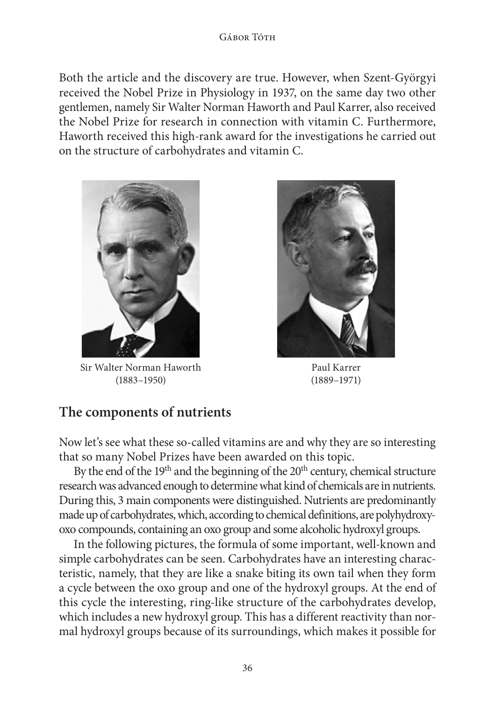Both the article and the discovery are true. However, when Szent-Györgyi received the Nobel Prize in Physiology in 1937, on the same day two other gentlemen, namely Sir Walter Norman Haworth and Paul Karrer, also received the Nobel Prize for research in connection with vitamin C. Furthermore, Haworth received this high-rank award for the investigations he carried out on the structure of carbohydrates and vitamin C.



Sir Walter Norman Haworth (1883–1950)



Paul Karrer (1889–1971)

## **The components of nutrients**

Now let's see what these so-called vitamins are and why they are so interesting that so many Nobel Prizes have been awarded on this topic.

By the end of the 19<sup>th</sup> and the beginning of the 20<sup>th</sup> century, chemical structure research was advanced enough to determine what kind of chemicals are in nutrients. During this, 3 main components were distinguished. Nutrients are predominantly made up of carbohydrates, which, according to chemical definitions, are polyhydroxyoxo compounds, containing an oxo group and some alcoholic hydroxyl groups.

In the following pictures, the formula of some important, well-known and simple carbohydrates can be seen. Carbohydrates have an interesting characteristic, namely, that they are like a snake biting its own tail when they form a cycle between the oxo group and one of the hydroxyl groups. At the end of this cycle the interesting, ring-like structure of the carbohydrates develop, which includes a new hydroxyl group. This has a different reactivity than normal hydroxyl groups because of its surroundings, which makes it possible for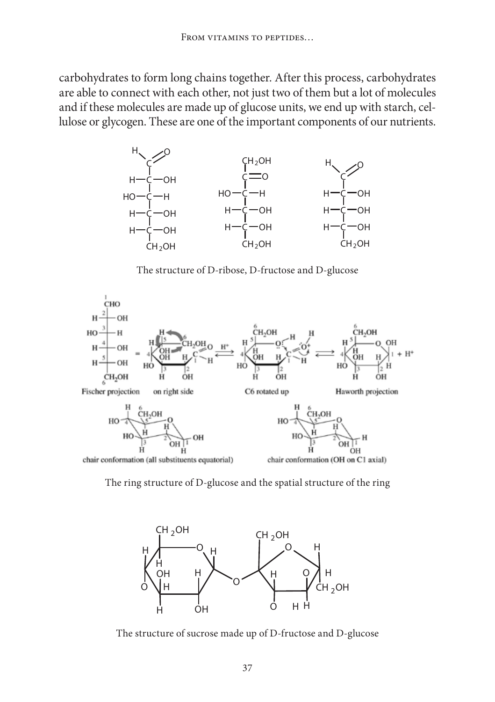carbohydrates to form long chains together. After this process, carbohydrates are able to connect with each other, not just two of them but a lot of molecules and if these molecules are made up of glucose units, we end up with starch, cellulose or glycogen. These are one of the important components of our nutrients.



The structure of D-ribose, D-fructose and D-glucose



The ring structure of D-glucose and the spatial structure of the ring



The structure of sucrose made up of D-fructose and D-glucose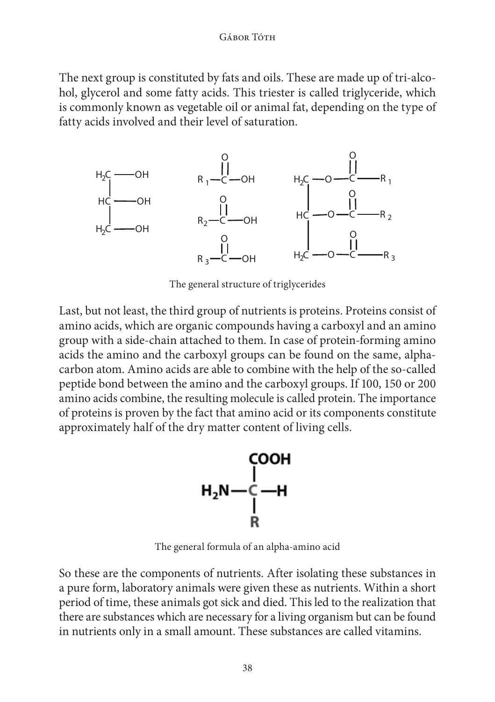#### Gábor Tóth

The next group is constituted by fats and oils. These are made up of tri-alcohol, glycerol and some fatty acids. This triester is called triglyceride, which is commonly known as vegetable oil or animal fat, depending on the type of fatty acids involved and their level of saturation.



The general structure of triglycerides

Last, but not least, the third group of nutrients is proteins. Proteins consist of amino acids, which are organic compounds having a carboxyl and an amino group with a side-chain attached to them. In case of protein-forming amino acids the amino and the carboxyl groups can be found on the same, alphacarbon atom. Amino acids are able to combine with the help of the so-called peptide bond between the amino and the carboxyl groups. If 100, 150 or 200 amino acids combine, the resulting molecule is called protein. The importance of proteins is proven by the fact that amino acid or its components constitute approximately half of the dry matter content of living cells.



The general formula of an alpha-amino acid

So these are the components of nutrients. After isolating these substances in a pure form, laboratory animals were given these as nutrients. Within a short period of time, these animals got sick and died. This led to the realization that there are substances which are necessary for a living organism but can be found in nutrients only in a small amount. These substances are called vitamins.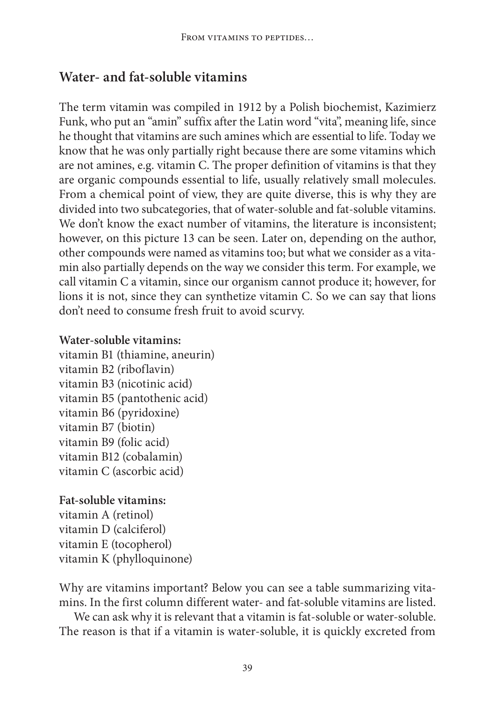# **Water- and fat-soluble vitamins**

The term vitamin was compiled in 1912 by a Polish biochemist, Kazimierz Funk, who put an "amin" suffix after the Latin word "vita", meaning life, since he thought that vitamins are such amines which are essential to life. Today we know that he was only partially right because there are some vitamins which are not amines, e.g. vitamin C. The proper definition of vitamins is that they are organic compounds essential to life, usually relatively small molecules. From a chemical point of view, they are quite diverse, this is why they are divided into two subcategories, that of water-soluble and fat-soluble vitamins. We don't know the exact number of vitamins, the literature is inconsistent; however, on this picture 13 can be seen. Later on, depending on the author, other compounds were named as vitamins too; but what we consider as a vitamin also partially depends on the way we consider this term. For example, we call vitamin C a vitamin, since our organism cannot produce it; however, for lions it is not, since they can synthetize vitamin C. So we can say that lions don't need to consume fresh fruit to avoid scurvy.

### **Water-soluble vitamins:**

vitamin B1 (thiamine, aneurin) vitamin B2 (riboflavin) vitamin B3 (nicotinic acid) vitamin B5 (pantothenic acid) vitamin B6 (pyridoxine) vitamin B7 (biotin) vitamin B9 (folic acid) vitamin B12 (cobalamin) vitamin C (ascorbic acid)

### **Fat-soluble vitamins:**

vitamin A (retinol) vitamin D (calciferol) vitamin E (tocopherol) vitamin K (phylloquinone)

Why are vitamins important? Below you can see a table summarizing vitamins. In the first column different water- and fat-soluble vitamins are listed.

We can ask why it is relevant that a vitamin is fat-soluble or water-soluble. The reason is that if a vitamin is water-soluble, it is quickly excreted from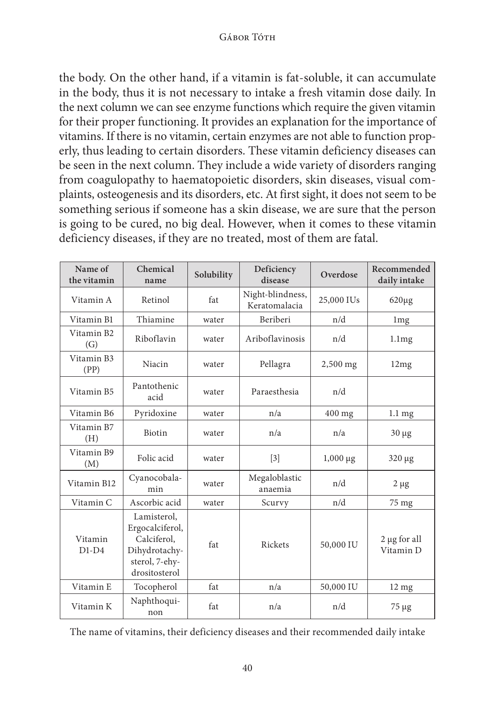the body. On the other hand, if a vitamin is fat-soluble, it can accumulate in the body, thus it is not necessary to intake a fresh vitamin dose daily. In the next column we can see enzyme functions which require the given vitamin for their proper functioning. It provides an explanation for the importance of vitamins. If there is no vitamin, certain enzymes are not able to function properly, thus leading to certain disorders. These vitamin deficiency diseases can be seen in the next column. They include a wide variety of disorders ranging from coagulopathy to haematopoietic disorders, skin diseases, visual complaints, osteogenesis and its disorders, etc. At first sight, it does not seem to be something serious if someone has a skin disease, we are sure that the person is going to be cured, no big deal. However, when it comes to these vitamin deficiency diseases, if they are no treated, most of them are fatal.

| Name of<br>the vitamin | Chemical<br>name                                                                                  | Solubility | Deficiency<br>disease             | Overdose      | Recommended<br>daily intake    |
|------------------------|---------------------------------------------------------------------------------------------------|------------|-----------------------------------|---------------|--------------------------------|
| Vitamin A              | Retinol                                                                                           | fat        | Night-blindness,<br>Keratomalacia | 25,000 IUs    | $620\mu$ g                     |
| Vitamin B1             | Thiamine                                                                                          | water      | Beriberi                          | n/d           | 1 <sub>mg</sub>                |
| Vitamin B2<br>(G)      | Riboflavin                                                                                        | water      | Ariboflavinosis                   | n/d           | 1.1mg                          |
| Vitamin B3<br>(PP)     | Niacin                                                                                            | water      | Pellagra                          | 2,500 mg      | 12mg                           |
| Vitamin B5             | Pantothenic<br>acid                                                                               | water      | Paraesthesia                      | n/d           |                                |
| Vitamin B6             | Pyridoxine                                                                                        | water      | n/a                               | 400 mg        | $1.1 \text{ mg}$               |
| Vitamin B7<br>(H)      | Biotin                                                                                            | water      | n/a                               | n/a           | $30 \mu g$                     |
| Vitamin B9<br>(M)      | Folic acid                                                                                        | water      | $\lceil 3 \rceil$                 | $1,000 \mu g$ | 320 µg                         |
| Vitamin B12            | Cyanocobala-<br>min                                                                               | water      | Megaloblastic<br>anaemia          | n/d           | $2 \mu$ g                      |
| Vitamin C              | Ascorbic acid                                                                                     | water      | Scurvy                            | n/d           | 75 mg                          |
| Vitamin<br>$D1-D4$     | Lamisterol,<br>Ergocalciferol,<br>Calciferol,<br>Dihydrotachy-<br>sterol, 7-ehy-<br>drositosterol | fat        | Rickets                           | 50,000 IU     | $2 \mu$ g for all<br>Vitamin D |
| Vitamin E              | Tocopherol                                                                                        | fat        | n/a                               | 50,000 IU     | $12 \text{ mg}$                |
| Vitamin K              | Naphthoqui-<br>non                                                                                | fat        | n/a                               | n/d           | $75 \mu g$                     |

The name of vitamins, their deficiency diseases and their recommended daily intake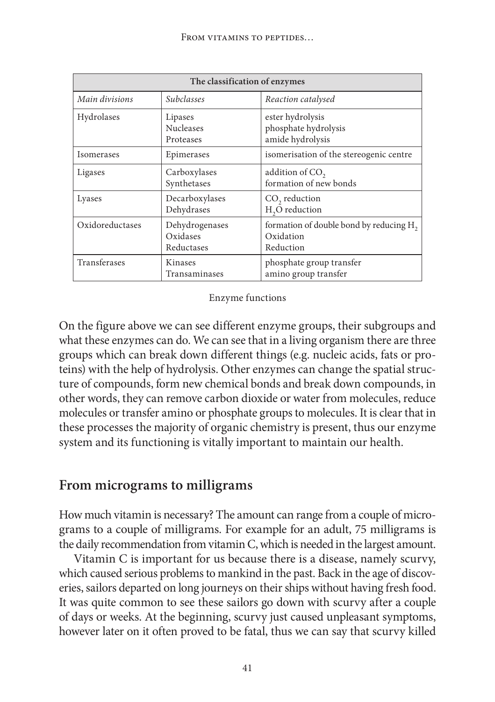| The classification of enzymes            |                                          |                                                                               |  |  |  |
|------------------------------------------|------------------------------------------|-------------------------------------------------------------------------------|--|--|--|
| Main divisions                           | <i>Subclasses</i>                        | Reaction catalysed                                                            |  |  |  |
| Hydrolases                               | Lipases<br><b>Nucleases</b><br>Proteases | ester hydrolysis<br>phosphate hydrolysis<br>amide hydrolysis                  |  |  |  |
| Isomerases                               | Epimerases                               | isomerisation of the stereogenic centre                                       |  |  |  |
| Ligases                                  | Carboxylases<br>Synthetases              | addition of CO <sub>2</sub><br>formation of new bonds                         |  |  |  |
| Lyases                                   | Decarboxylases<br>Dehydrases             | $CO$ , reduction<br>H <sub>2</sub> O reduction                                |  |  |  |
| Oxidoreductases                          | Dehydrogenases<br>Oxidases<br>Reductases | formation of double bond by reducing H <sub>2</sub><br>Oxidation<br>Reduction |  |  |  |
| Transferases<br>Kinases<br>Transaminases |                                          | phosphate group transfer<br>amino group transfer                              |  |  |  |

Enzyme functions

On the figure above we can see different enzyme groups, their subgroups and what these enzymes can do. We can see that in a living organism there are three groups which can break down different things (e.g. nucleic acids, fats or proteins) with the help of hydrolysis. Other enzymes can change the spatial structure of compounds, form new chemical bonds and break down compounds, in other words, they can remove carbon dioxide or water from molecules, reduce molecules or transfer amino or phosphate groups to molecules. It is clear that in these processes the majority of organic chemistry is present, thus our enzyme system and its functioning is vitally important to maintain our health.

### **From micrograms to milligrams**

How much vitamin is necessary? The amount can range from a couple of micrograms to a couple of milligrams. For example for an adult, 75 milligrams is the daily recommendation from vitamin C, which is needed in the largest amount.

Vitamin C is important for us because there is a disease, namely scurvy, which caused serious problems to mankind in the past. Back in the age of discoveries, sailors departed on long journeys on their ships without having fresh food. It was quite common to see these sailors go down with scurvy after a couple of days or weeks. At the beginning, scurvy just caused unpleasant symptoms, however later on it often proved to be fatal, thus we can say that scurvy killed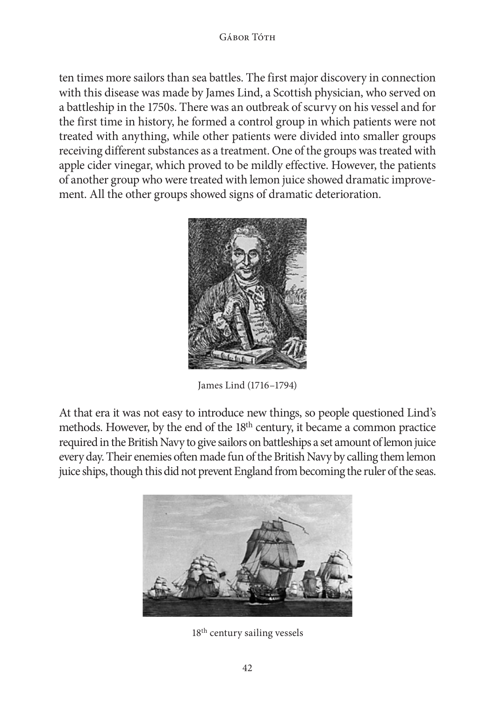ten times more sailors than sea battles. The first major discovery in connection with this disease was made by James Lind, a Scottish physician, who served on a battleship in the 1750s. There was an outbreak of scurvy on his vessel and for the first time in history, he formed a control group in which patients were not treated with anything, while other patients were divided into smaller groups receiving different substances as a treatment. One of the groups was treated with apple cider vinegar, which proved to be mildly effective. However, the patients of another group who were treated with lemon juice showed dramatic improvement. All the other groups showed signs of dramatic deterioration.



James Lind (1716–1794)

At that era it was not easy to introduce new things, so people questioned Lind's methods. However, by the end of the 18<sup>th</sup> century, it became a common practice required in the British Navy to give sailors on battleships a set amount of lemon juice every day. Their enemies often made fun of the British Navy by calling them lemon juice ships, though this did not prevent England from becoming the ruler of the seas.



18th century sailing vessels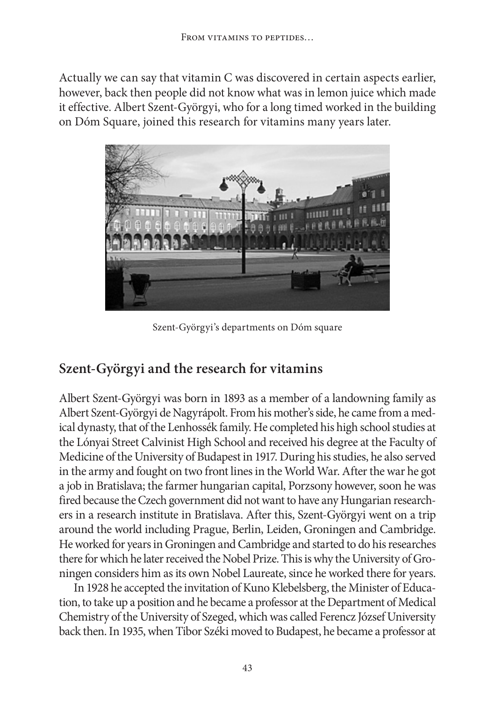Actually we can say that vitamin C was discovered in certain aspects earlier, however, back then people did not know what was in lemon juice which made it effective. Albert Szent-Györgyi, who for a long timed worked in the building on Dóm Square, joined this research for vitamins many years later.



Szent-Györgyi's departments on Dóm square

# **Szent-Györgyi and the research for vitamins**

Albert Szent-Györgyi was born in 1893 as a member of a landowning family as Albert Szent-Györgyi de Nagyrápolt. From his mother's side, he came from a medical dynasty, that of the Lenhossék family. He completed his high school studies at the Lónyai Street Calvinist High School and received his degree at the Faculty of Medicine of the University of Budapest in 1917. During his studies, he also served in the army and fought on two front lines in the World War. After the war he got a job in Bratislava; the farmer hungarian capital, Porzsony however, soon he was fired because the Czech government did not want to have any Hungarian researchers in a research institute in Bratislava. After this, Szent-Györgyi went on a trip around the world including Prague, Berlin, Leiden, Groningen and Cambridge. He worked for years in Groningen and Cambridge and started to do his researches there for which he later received the Nobel Prize. This is why the University of Groningen considers him as its own Nobel Laureate, since he worked there for years.

In 1928 he accepted the invitation of Kuno Klebelsberg, the Minister of Education, to take up a position and he became a professor at the Department of Medical Chemistry of the University of Szeged, which was called Ferencz József University back then. In 1935, when Tibor Széki moved to Budapest, he became a professor at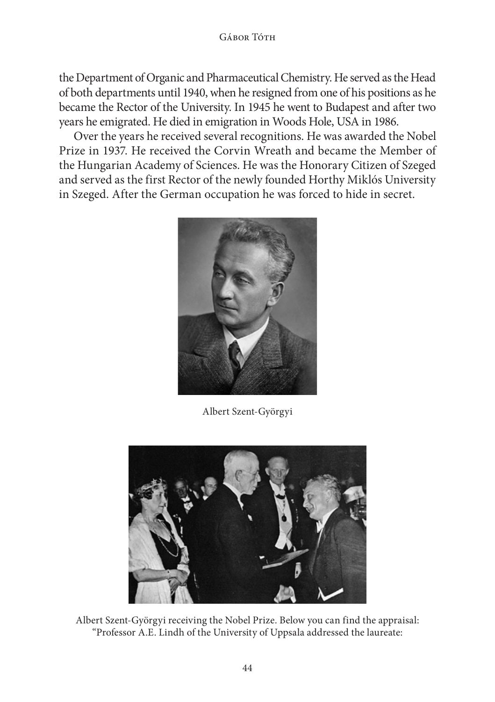### GÁBOR TÓTH

the Department of Organic and Pharmaceutical Chemistry. He served as the Head of both departments until 1940, when he resigned from one of his positions as he became the Rector of the University. In 1945 he went to Budapest and after two years he emigrated. He died in emigration in Woods Hole, USA in 1986.

Over the years he received several recognitions. He was awarded the Nobel Prize in 1937. He received the Corvin Wreath and became the Member of the Hungarian Academy of Sciences. He was the Honorary Citizen of Szeged and served as the first Rector of the newly founded Horthy Miklós University in Szeged. After the German occupation he was forced to hide in secret.



Albert Szent-Györgyi



Albert Szent-Györgyi receiving the Nobel Prize. Below you can find the appraisal: "Professor A.E. Lindh of the University of Uppsala addressed the laureate: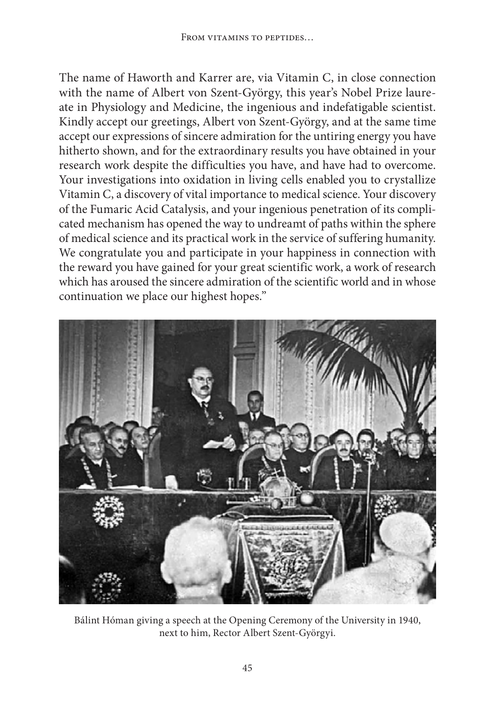The name of Haworth and Karrer are, via Vitamin C, in close connection with the name of Albert von Szent-György, this year's Nobel Prize laureate in Physiology and Medicine, the ingenious and indefatigable scientist. Kindly accept our greetings, Albert von Szent-György, and at the same time accept our expressions of sincere admiration for the untiring energy you have hitherto shown, and for the extraordinary results you have obtained in your research work despite the difficulties you have, and have had to overcome. Your investigations into oxidation in living cells enabled you to crystallize Vitamin C, a discovery of vital importance to medical science. Your discovery of the Fumaric Acid Catalysis, and your ingenious penetration of its complicated mechanism has opened the way to undreamt of paths within the sphere of medical science and its practical work in the service of suffering humanity. We congratulate you and participate in your happiness in connection with the reward you have gained for your great scientific work, a work of research which has aroused the sincere admiration of the scientific world and in whose continuation we place our highest hopes."



Bálint Hóman giving a speech at the Opening Ceremony of the University in 1940, next to him, Rector Albert Szent-Györgyi.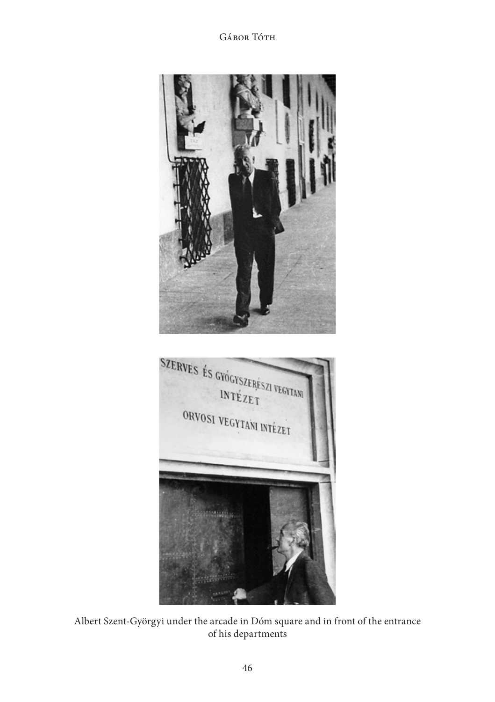Gábor Tóth



Albert Szent-Györgyi under the arcade in Dóm square and in front of the entrance of his departments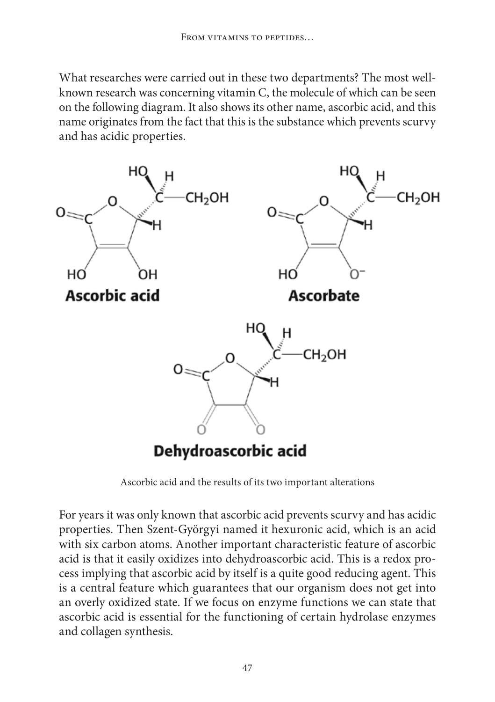What researches were carried out in these two departments? The most wellknown research was concerning vitamin C, the molecule of which can be seen on the following diagram. It also shows its other name, ascorbic acid, and this name originates from the fact that this is the substance which prevents scurvy and has acidic properties.



Ascorbic acid and the results of its two important alterations

For years it was only known that ascorbic acid prevents scurvy and has acidic properties. Then Szent-Györgyi named it hexuronic acid, which is an acid with six carbon atoms. Another important characteristic feature of ascorbic acid is that it easily oxidizes into dehydroascorbic acid. This is a redox process implying that ascorbic acid by itself is a quite good reducing agent. This is a central feature which guarantees that our organism does not get into an overly oxidized state. If we focus on enzyme functions we can state that ascorbic acid is essential for the functioning of certain hydrolase enzymes and collagen synthesis.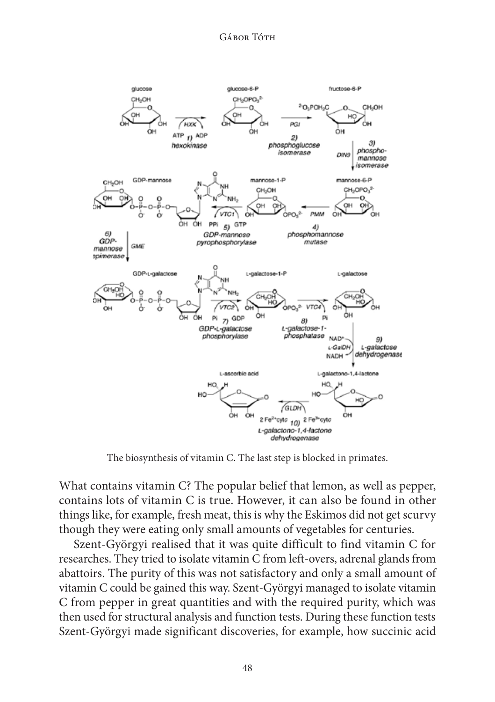

The biosynthesis of vitamin C. The last step is blocked in primates.

What contains vitamin C? The popular belief that lemon, as well as pepper, contains lots of vitamin C is true. However, it can also be found in other things like, for example, fresh meat, this is why the Eskimos did not get scurvy though they were eating only small amounts of vegetables for centuries.

Szent-Györgyi realised that it was quite difficult to find vitamin C for researches. They tried to isolate vitamin C from left-overs, adrenal glands from abattoirs. The purity of this was not satisfactory and only a small amount of vitamin C could be gained this way. Szent-Györgyi managed to isolate vitamin C from pepper in great quantities and with the required purity, which was then used for structural analysis and function tests. During these function tests Szent-Györgyi made significant discoveries, for example, how succinic acid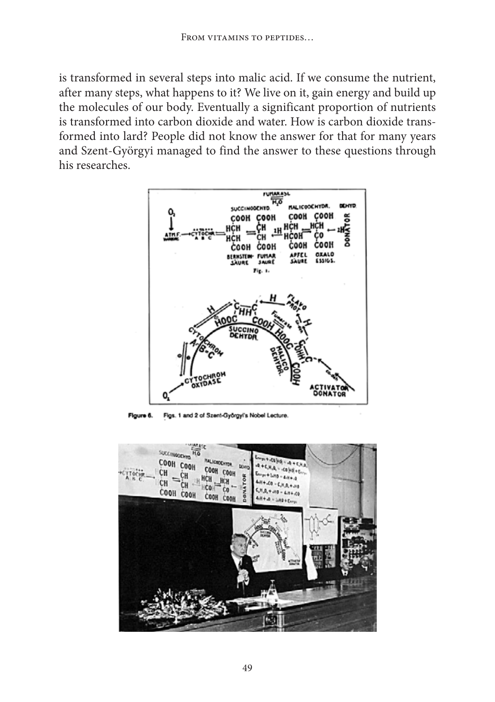is transformed in several steps into malic acid. If we consume the nutrient, after many steps, what happens to it? We live on it, gain energy and build up the molecules of our body. Eventually a significant proportion of nutrients is transformed into carbon dioxide and water. How is carbon dioxide transformed into lard? People did not know the answer for that for many years and Szent-Györgyi managed to find the answer to these questions through his researches.



Figure 6. Figs. 1 and 2 of Szent-Györgyi's Nobel Lecture.

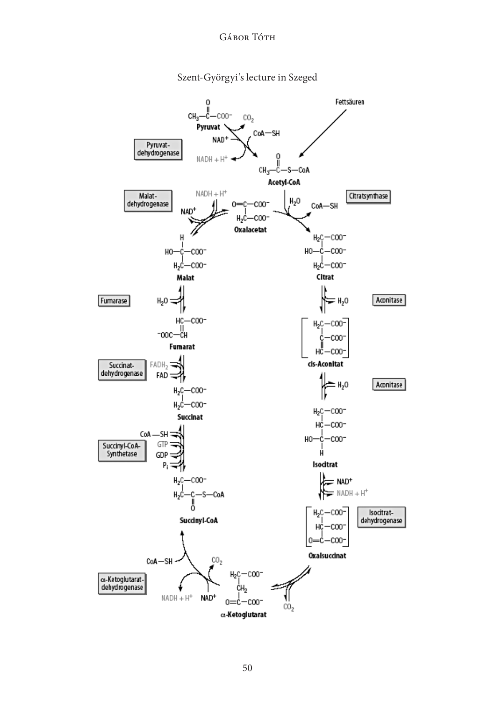

Szent-Györgyi's lecture in Szeged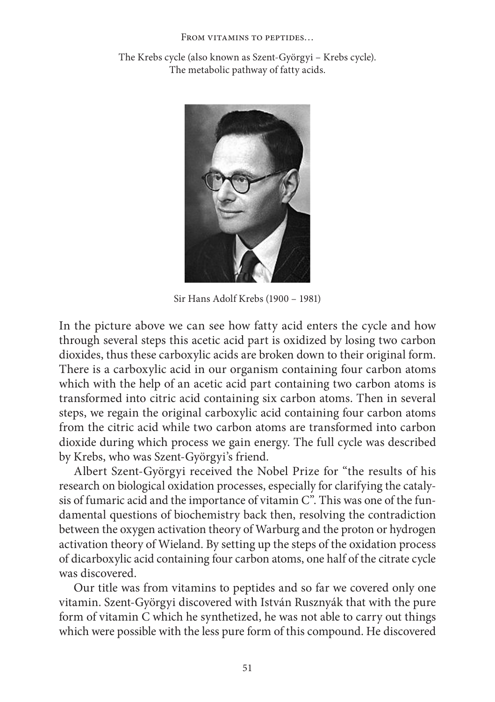#### From vitamins to peptides…

The Krebs cycle (also known as Szent-Györgyi – Krebs cycle). The metabolic pathway of fatty acids.



Sir Hans Adolf Krebs (1900 – 1981)

In the picture above we can see how fatty acid enters the cycle and how through several steps this acetic acid part is oxidized by losing two carbon dioxides, thus these carboxylic acids are broken down to their original form. There is a carboxylic acid in our organism containing four carbon atoms which with the help of an acetic acid part containing two carbon atoms is transformed into citric acid containing six carbon atoms. Then in several steps, we regain the original carboxylic acid containing four carbon atoms from the citric acid while two carbon atoms are transformed into carbon dioxide during which process we gain energy. The full cycle was described by Krebs, who was Szent-Györgyi's friend.

Albert Szent-Györgyi received the Nobel Prize for "the results of his research on biological oxidation processes, especially for clarifying the catalysis of fumaric acid and the importance of vitamin C". This was one of the fundamental questions of biochemistry back then, resolving the contradiction between the oxygen activation theory of Warburg and the proton or hydrogen activation theory of Wieland. By setting up the steps of the oxidation process of dicarboxylic acid containing four carbon atoms, one half of the citrate cycle was discovered.

Our title was from vitamins to peptides and so far we covered only one vitamin. Szent-Györgyi discovered with István Rusznyák that with the pure form of vitamin C which he synthetized, he was not able to carry out things which were possible with the less pure form of this compound. He discovered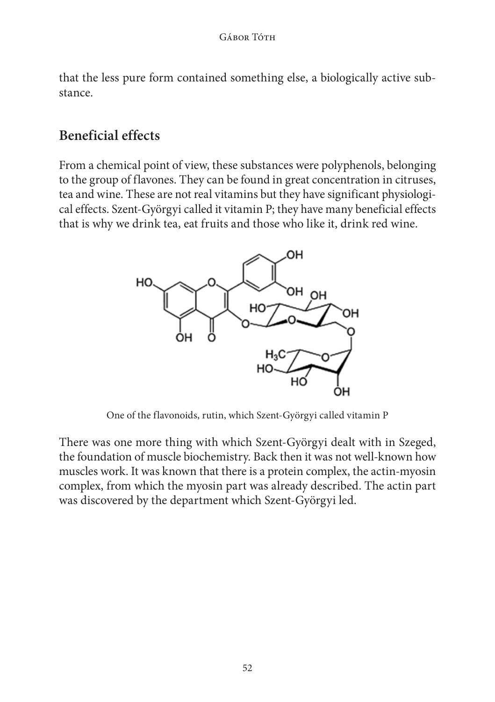that the less pure form contained something else, a biologically active substance.

# **Beneficial effects**

From a chemical point of view, these substances were polyphenols, belonging to the group of flavones. They can be found in great concentration in citruses, tea and wine. These are not real vitamins but they have significant physiological effects. Szent-Györgyi called it vitamin P; they have many beneficial effects that is why we drink tea, eat fruits and those who like it, drink red wine.



One of the flavonoids, rutin, which Szent-Györgyi called vitamin P

There was one more thing with which Szent-Györgyi dealt with in Szeged, the foundation of muscle biochemistry. Back then it was not well-known how muscles work. It was known that there is a protein complex, the actin-myosin complex, from which the myosin part was already described. The actin part was discovered by the department which Szent-Györgyi led.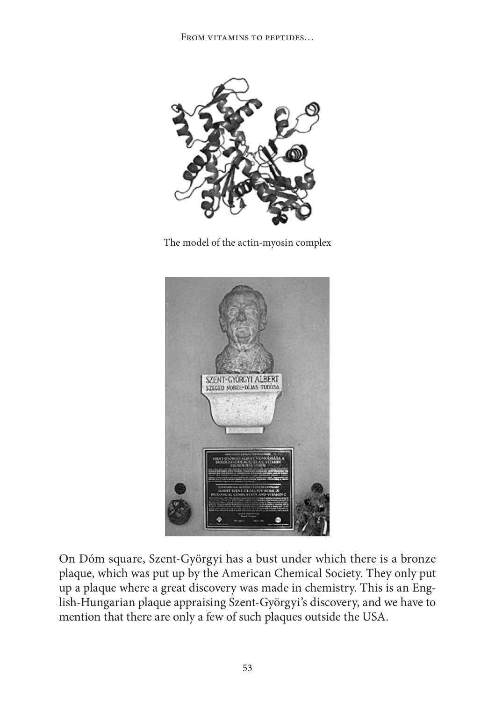

The model of the actin-myosin complex



On Dóm square, Szent-Györgyi has a bust under which there is a bronze plaque, which was put up by the American Chemical Society. They only put up a plaque where a great discovery was made in chemistry. This is an English-Hungarian plaque appraising Szent-Györgyi's discovery, and we have to mention that there are only a few of such plaques outside the USA.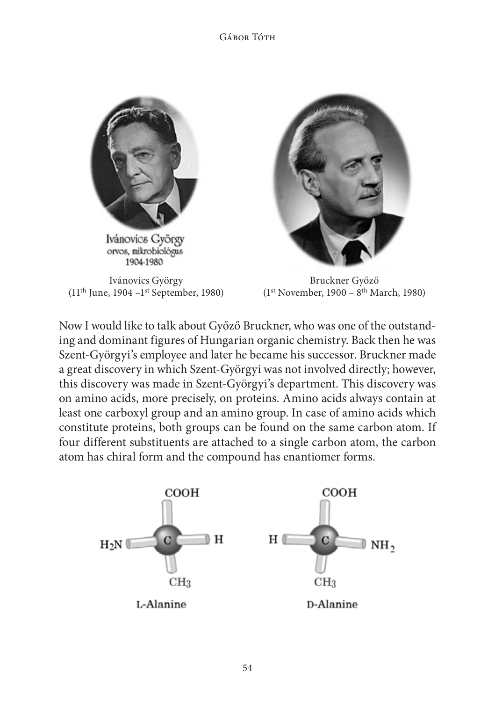### Gábor Tóth



Ivánovics György  $(11<sup>th</sup>$  June, 1904 – $1<sup>st</sup>$  September, 1980)



Bruckner Győző (1st November, 1900 – 8th March, 1980)

Now I would like to talk about Győző Bruckner, who was one of the outstanding and dominant figures of Hungarian organic chemistry. Back then he was Szent-Györgyi's employee and later he became his successor. Bruckner made a great discovery in which Szent-Györgyi was not involved directly; however, this discovery was made in Szent-Györgyi's department. This discovery was on amino acids, more precisely, on proteins. Amino acids always contain at least one carboxyl group and an amino group. In case of amino acids which constitute proteins, both groups can be found on the same carbon atom. If four different substituents are attached to a single carbon atom, the carbon atom has chiral form and the compound has enantiomer forms.

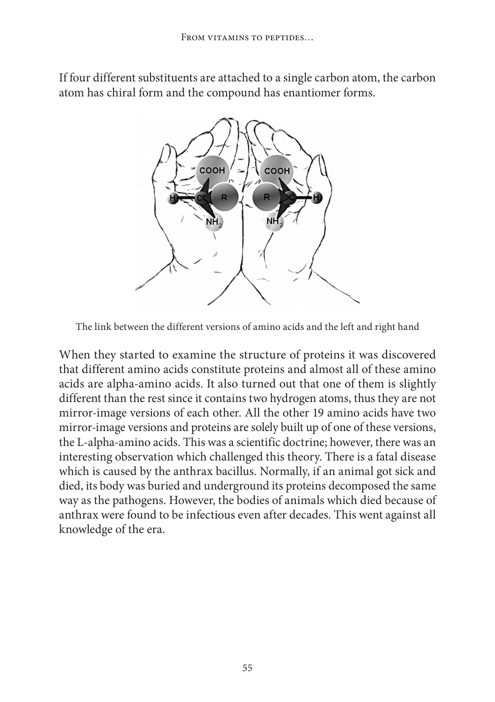If four different substituents are attached to a single carbon atom, the carbon atom has chiral form and the compound has enantiomer forms.



The link between the different versions of amino acids and the left and right hand

When they started to examine the structure of proteins it was discovered that different amino acids constitute proteins and almost all of these amino acids are alpha-amino acids. It also turned out that one of them is slightly different than the rest since it contains two hydrogen atoms, thus they are not mirror-image versions of each other. All the other 19 amino acids have two mirror-image versions and proteins are solely built up of one of these versions, the L-alpha-amino acids. This was a scientific doctrine; however, there was an interesting observation which challenged this theory. There is a fatal disease which is caused by the anthrax bacillus. Normally, if an animal got sick and died, its body was buried and underground its proteins decomposed the same way as the pathogens. However, the bodies of animals which died because of anthrax were found to be infectious even after decades. This went against all knowledge of the era.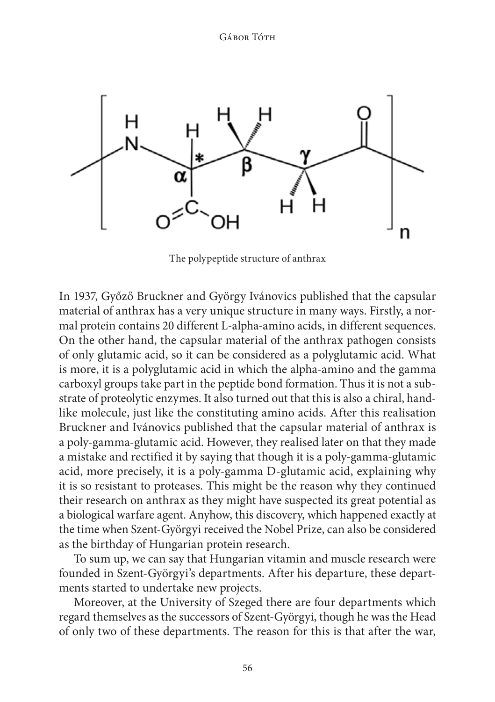

The polypeptide structure of anthrax

In 1937, Győző Bruckner and György Ivánovics published that the capsular material of anthrax has a very unique structure in many ways. Firstly, a normal protein contains 20 different L-alpha-amino acids, in different sequences. On the other hand, the capsular material of the anthrax pathogen consists of only glutamic acid, so it can be considered as a polyglutamic acid. What is more, it is a polyglutamic acid in which the alpha-amino and the gamma carboxyl groups take part in the peptide bond formation. Thus it is not a substrate of proteolytic enzymes. It also turned out that this is also a chiral, handlike molecule, just like the constituting amino acids. After this realisation Bruckner and Ivánovics published that the capsular material of anthrax is a poly-gamma-glutamic acid. However, they realised later on that they made a mistake and rectified it by saying that though it is a poly-gamma-glutamic acid, more precisely, it is a poly-gamma D-glutamic acid, explaining why it is so resistant to proteases. This might be the reason why they continued their research on anthrax as they might have suspected its great potential as a biological warfare agent. Anyhow, this discovery, which happened exactly at the time when Szent-Györgyi received the Nobel Prize, can also be considered as the birthday of Hungarian protein research.

To sum up, we can say that Hungarian vitamin and muscle research were founded in Szent-Györgyi's departments. After his departure, these departments started to undertake new projects.

Moreover, at the University of Szeged there are four departments which regard themselves as the successors of Szent-Györgyi, though he was the Head of only two of these departments. The reason for this is that after the war,